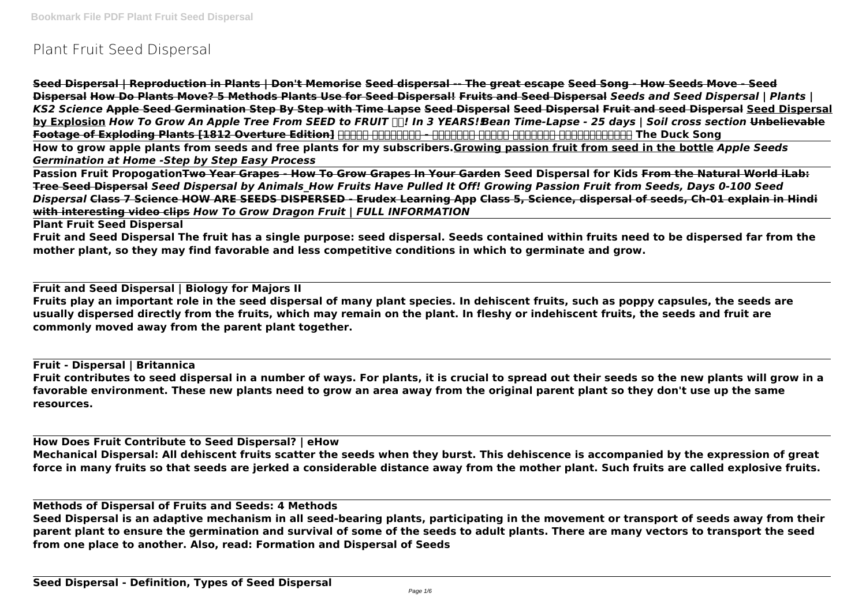# **Plant Fruit Seed Dispersal**

**Seed Dispersal | Reproduction in Plants | Don't Memorise Seed dispersal -- The great escape Seed Song - How Seeds Move - Seed Dispersal How Do Plants Move? 5 Methods Plants Use for Seed Dispersal! Fruits and Seed Dispersal** *Seeds and Seed Dispersal | Plants | KS2 Science* **Apple Seed Germination Step By Step with Time Lapse Seed Dispersal Seed Dispersal Fruit and seed Dispersal Seed Dispersal by Explosion** *How To Grow An Apple Tree From SEED to FRUIT ! In 3 YEARS!!Bean Time-Lapse - 25 days | Soil cross section* **Unbelievable** Footage of Exploding Plants [1812 Overture Edition] **ANAN HOODANA - ANANANA ANANANA ANANANA The Duck Song How to grow apple plants from seeds and free plants for my subscribers.Growing passion fruit from seed in the bottle** *Apple Seeds Germination at Home -Step by Step Easy Process*

**Passion Fruit PropogationTwo Year Grapes - How To Grow Grapes In Your Garden Seed Dispersal for Kids From the Natural World iLab: Tree Seed Dispersal** *Seed Dispersal by Animals\_How Fruits Have Pulled It Off! Growing Passion Fruit from Seeds, Days 0-100 Seed Dispersal* **Class 7 Science HOW ARE SEEDS DISPERSED - Erudex Learning App Class 5, Science, dispersal of seeds, Ch-01 explain in Hindi with interesting video clips** *How To Grow Dragon Fruit | FULL INFORMATION*

**Plant Fruit Seed Dispersal**

**Fruit and Seed Dispersal The fruit has a single purpose: seed dispersal. Seeds contained within fruits need to be dispersed far from the mother plant, so they may find favorable and less competitive conditions in which to germinate and grow.**

**Fruit and Seed Dispersal | Biology for Majors II**

**Fruits play an important role in the seed dispersal of many plant species. In dehiscent fruits, such as poppy capsules, the seeds are usually dispersed directly from the fruits, which may remain on the plant. In fleshy or indehiscent fruits, the seeds and fruit are commonly moved away from the parent plant together.**

**Fruit - Dispersal | Britannica Fruit contributes to seed dispersal in a number of ways. For plants, it is crucial to spread out their seeds so the new plants will grow in a favorable environment. These new plants need to grow an area away from the original parent plant so they don't use up the same resources.**

**How Does Fruit Contribute to Seed Dispersal? | eHow Mechanical Dispersal: All dehiscent fruits scatter the seeds when they burst. This dehiscence is accompanied by the expression of great force in many fruits so that seeds are jerked a considerable distance away from the mother plant. Such fruits are called explosive fruits.**

**Methods of Dispersal of Fruits and Seeds: 4 Methods**

**Seed Dispersal is an adaptive mechanism in all seed-bearing plants, participating in the movement or transport of seeds away from their parent plant to ensure the germination and survival of some of the seeds to adult plants. There are many vectors to transport the seed from one place to another. Also, read: Formation and Dispersal of Seeds**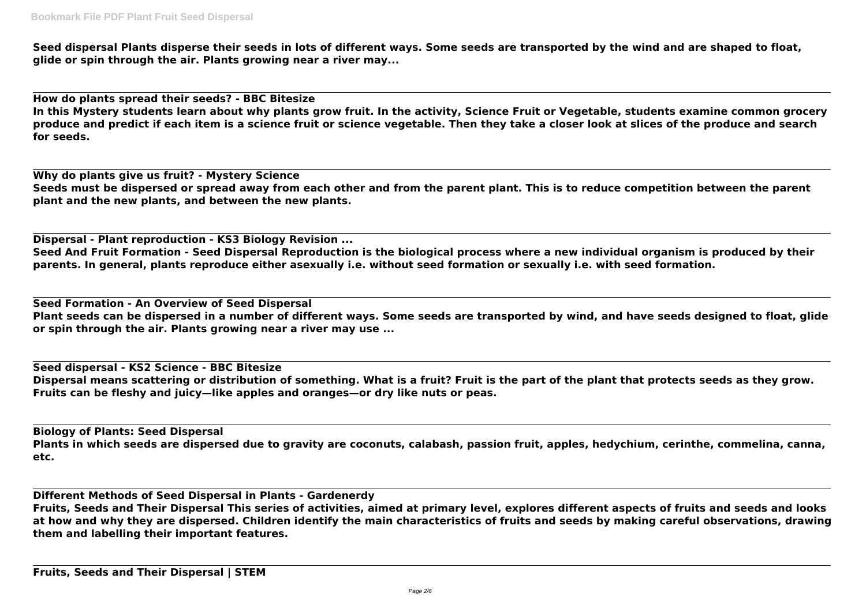**Seed dispersal Plants disperse their seeds in lots of different ways. Some seeds are transported by the wind and are shaped to float, glide or spin through the air. Plants growing near a river may...**

**How do plants spread their seeds? - BBC Bitesize**

**In this Mystery students learn about why plants grow fruit. In the activity, Science Fruit or Vegetable, students examine common grocery produce and predict if each item is a science fruit or science vegetable. Then they take a closer look at slices of the produce and search for seeds.**

**Why do plants give us fruit? - Mystery Science Seeds must be dispersed or spread away from each other and from the parent plant. This is to reduce competition between the parent plant and the new plants, and between the new plants.**

**Dispersal - Plant reproduction - KS3 Biology Revision ... Seed And Fruit Formation - Seed Dispersal Reproduction is the biological process where a new individual organism is produced by their parents. In general, plants reproduce either asexually i.e. without seed formation or sexually i.e. with seed formation.**

**Seed Formation - An Overview of Seed Dispersal Plant seeds can be dispersed in a number of different ways. Some seeds are transported by wind, and have seeds designed to float, glide or spin through the air. Plants growing near a river may use ...**

**Seed dispersal - KS2 Science - BBC Bitesize Dispersal means scattering or distribution of something. What is a fruit? Fruit is the part of the plant that protects seeds as they grow. Fruits can be fleshy and juicy—like apples and oranges—or dry like nuts or peas.**

**Biology of Plants: Seed Dispersal Plants in which seeds are dispersed due to gravity are coconuts, calabash, passion fruit, apples, hedychium, cerinthe, commelina, canna, etc.**

**Different Methods of Seed Dispersal in Plants - Gardenerdy Fruits, Seeds and Their Dispersal This series of activities, aimed at primary level, explores different aspects of fruits and seeds and looks at how and why they are dispersed. Children identify the main characteristics of fruits and seeds by making careful observations, drawing them and labelling their important features.**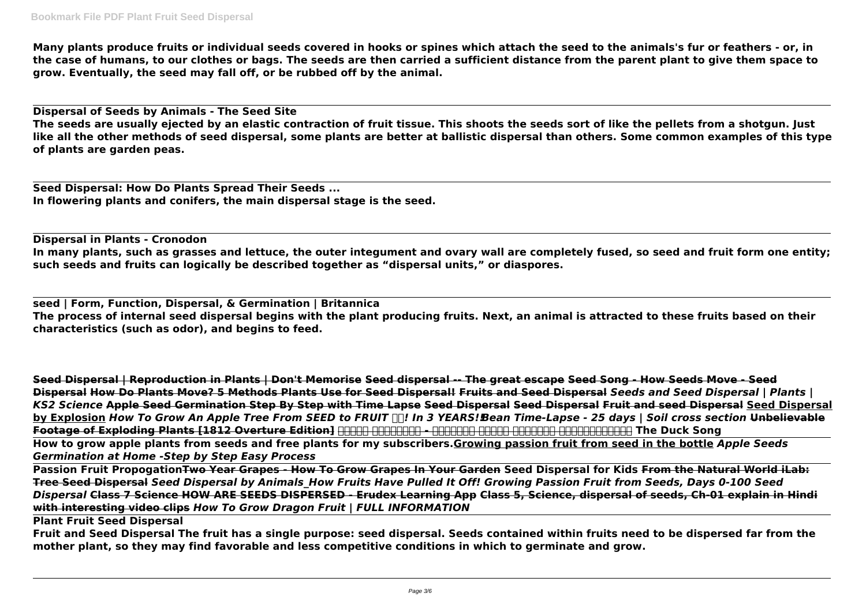**Many plants produce fruits or individual seeds covered in hooks or spines which attach the seed to the animals's fur or feathers - or, in the case of humans, to our clothes or bags. The seeds are then carried a sufficient distance from the parent plant to give them space to grow. Eventually, the seed may fall off, or be rubbed off by the animal.**

**Dispersal of Seeds by Animals - The Seed Site The seeds are usually ejected by an elastic contraction of fruit tissue. This shoots the seeds sort of like the pellets from a shotgun. Just like all the other methods of seed dispersal, some plants are better at ballistic dispersal than others. Some common examples of this type of plants are garden peas.**

**Seed Dispersal: How Do Plants Spread Their Seeds ... In flowering plants and conifers, the main dispersal stage is the seed.**

**Dispersal in Plants - Cronodon In many plants, such as grasses and lettuce, the outer integument and ovary wall are completely fused, so seed and fruit form one entity; such seeds and fruits can logically be described together as "dispersal units," or diaspores.**

**seed | Form, Function, Dispersal, & Germination | Britannica The process of internal seed dispersal begins with the plant producing fruits. Next, an animal is attracted to these fruits based on their characteristics (such as odor), and begins to feed.**

**Seed Dispersal | Reproduction in Plants | Don't Memorise Seed dispersal -- The great escape Seed Song - How Seeds Move - Seed Dispersal How Do Plants Move? 5 Methods Plants Use for Seed Dispersal! Fruits and Seed Dispersal** *Seeds and Seed Dispersal | Plants | KS2 Science* **Apple Seed Germination Step By Step with Time Lapse Seed Dispersal Seed Dispersal Fruit and seed Dispersal Seed Dispersal by Explosion** *How To Grow An Apple Tree From SEED to FRUIT ! In 3 YEARS!!Bean Time-Lapse - 25 days | Soil cross section* **Unbelievable** Footage of Exploding Plants [1812 Overture Edition] **HIRRE HIRRE - ARRET - ARRET HIRRE HIRRE The Duck Song How to grow apple plants from seeds and free plants for my subscribers.Growing passion fruit from seed in the bottle** *Apple Seeds Germination at Home -Step by Step Easy Process*

**Passion Fruit PropogationTwo Year Grapes - How To Grow Grapes In Your Garden Seed Dispersal for Kids From the Natural World iLab: Tree Seed Dispersal** *Seed Dispersal by Animals\_How Fruits Have Pulled It Off! Growing Passion Fruit from Seeds, Days 0-100 Seed Dispersal* **Class 7 Science HOW ARE SEEDS DISPERSED - Erudex Learning App Class 5, Science, dispersal of seeds, Ch-01 explain in Hindi with interesting video clips** *How To Grow Dragon Fruit | FULL INFORMATION*

**Plant Fruit Seed Dispersal**

**Fruit and Seed Dispersal The fruit has a single purpose: seed dispersal. Seeds contained within fruits need to be dispersed far from the mother plant, so they may find favorable and less competitive conditions in which to germinate and grow.**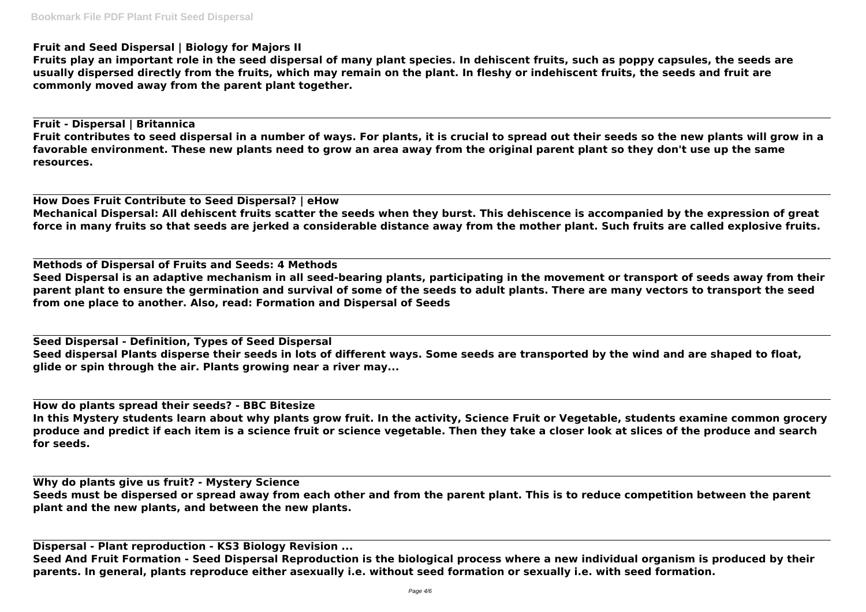# **Fruit and Seed Dispersal | Biology for Majors II**

**Fruits play an important role in the seed dispersal of many plant species. In dehiscent fruits, such as poppy capsules, the seeds are usually dispersed directly from the fruits, which may remain on the plant. In fleshy or indehiscent fruits, the seeds and fruit are commonly moved away from the parent plant together.**

**Fruit - Dispersal | Britannica Fruit contributes to seed dispersal in a number of ways. For plants, it is crucial to spread out their seeds so the new plants will grow in a favorable environment. These new plants need to grow an area away from the original parent plant so they don't use up the same resources.**

**How Does Fruit Contribute to Seed Dispersal? | eHow Mechanical Dispersal: All dehiscent fruits scatter the seeds when they burst. This dehiscence is accompanied by the expression of great force in many fruits so that seeds are jerked a considerable distance away from the mother plant. Such fruits are called explosive fruits.**

**Methods of Dispersal of Fruits and Seeds: 4 Methods Seed Dispersal is an adaptive mechanism in all seed-bearing plants, participating in the movement or transport of seeds away from their parent plant to ensure the germination and survival of some of the seeds to adult plants. There are many vectors to transport the seed from one place to another. Also, read: Formation and Dispersal of Seeds**

**Seed Dispersal - Definition, Types of Seed Dispersal Seed dispersal Plants disperse their seeds in lots of different ways. Some seeds are transported by the wind and are shaped to float, glide or spin through the air. Plants growing near a river may...**

**How do plants spread their seeds? - BBC Bitesize In this Mystery students learn about why plants grow fruit. In the activity, Science Fruit or Vegetable, students examine common grocery produce and predict if each item is a science fruit or science vegetable. Then they take a closer look at slices of the produce and search for seeds.**

**Why do plants give us fruit? - Mystery Science Seeds must be dispersed or spread away from each other and from the parent plant. This is to reduce competition between the parent plant and the new plants, and between the new plants.**

**Dispersal - Plant reproduction - KS3 Biology Revision ...**

**Seed And Fruit Formation - Seed Dispersal Reproduction is the biological process where a new individual organism is produced by their parents. In general, plants reproduce either asexually i.e. without seed formation or sexually i.e. with seed formation.**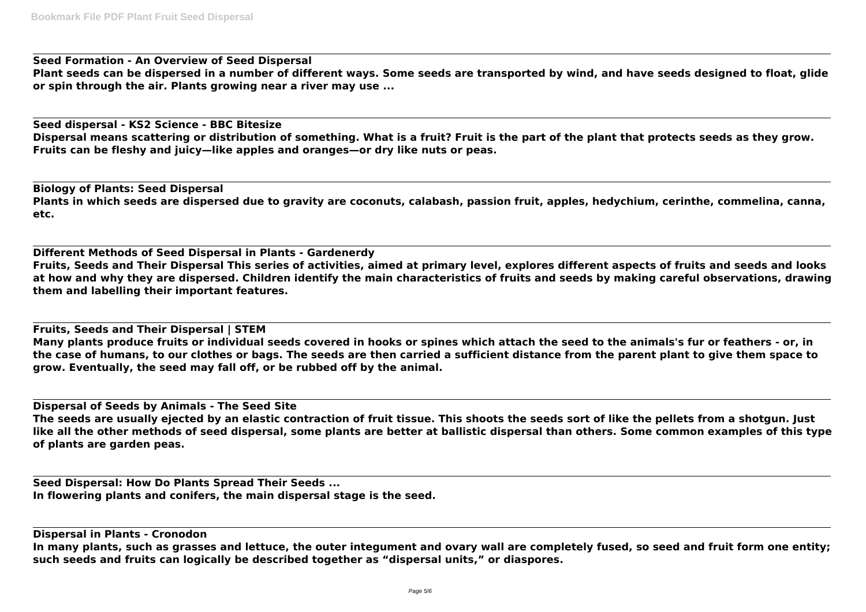**Seed Formation - An Overview of Seed Dispersal Plant seeds can be dispersed in a number of different ways. Some seeds are transported by wind, and have seeds designed to float, glide or spin through the air. Plants growing near a river may use ...**

**Seed dispersal - KS2 Science - BBC Bitesize Dispersal means scattering or distribution of something. What is a fruit? Fruit is the part of the plant that protects seeds as they grow. Fruits can be fleshy and juicy—like apples and oranges—or dry like nuts or peas.**

**Biology of Plants: Seed Dispersal Plants in which seeds are dispersed due to gravity are coconuts, calabash, passion fruit, apples, hedychium, cerinthe, commelina, canna, etc.**

**Different Methods of Seed Dispersal in Plants - Gardenerdy Fruits, Seeds and Their Dispersal This series of activities, aimed at primary level, explores different aspects of fruits and seeds and looks at how and why they are dispersed. Children identify the main characteristics of fruits and seeds by making careful observations, drawing them and labelling their important features.**

**Fruits, Seeds and Their Dispersal | STEM Many plants produce fruits or individual seeds covered in hooks or spines which attach the seed to the animals's fur or feathers - or, in the case of humans, to our clothes or bags. The seeds are then carried a sufficient distance from the parent plant to give them space to grow. Eventually, the seed may fall off, or be rubbed off by the animal.**

**Dispersal of Seeds by Animals - The Seed Site The seeds are usually ejected by an elastic contraction of fruit tissue. This shoots the seeds sort of like the pellets from a shotgun. Just like all the other methods of seed dispersal, some plants are better at ballistic dispersal than others. Some common examples of this type of plants are garden peas.**

**Seed Dispersal: How Do Plants Spread Their Seeds ... In flowering plants and conifers, the main dispersal stage is the seed.**

**Dispersal in Plants - Cronodon In many plants, such as grasses and lettuce, the outer integument and ovary wall are completely fused, so seed and fruit form one entity; such seeds and fruits can logically be described together as "dispersal units," or diaspores.**